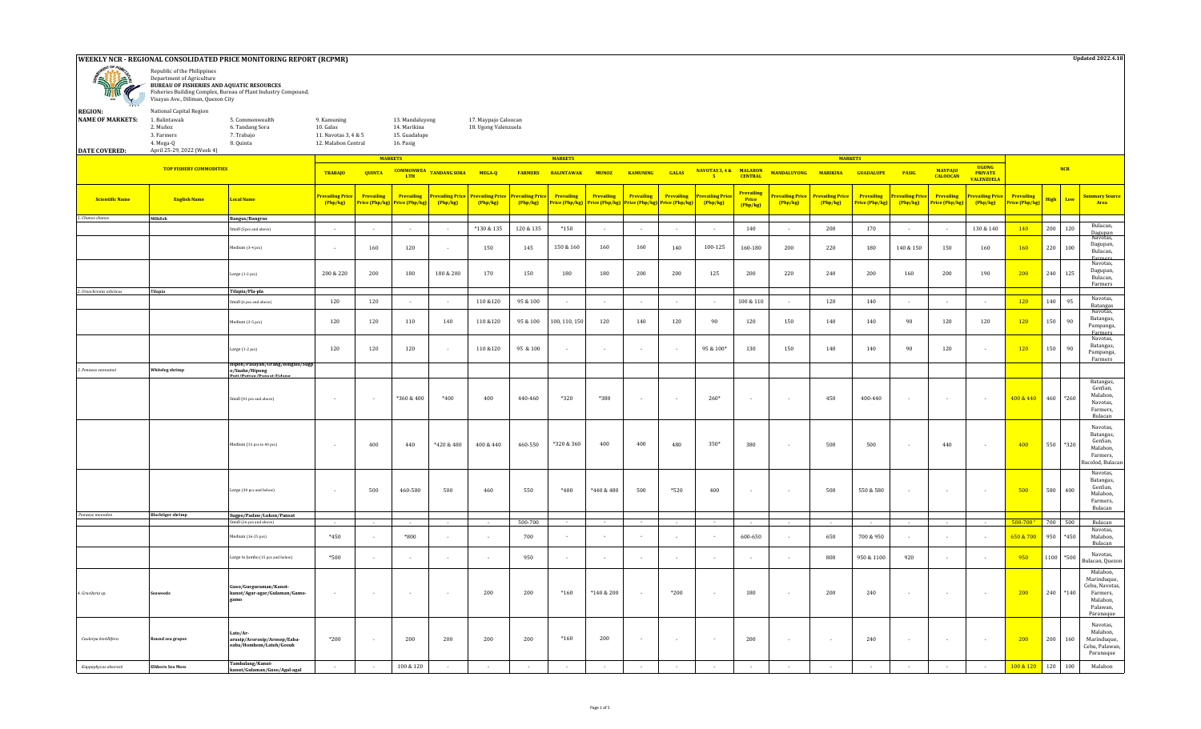## **WEEKLY NCR - REGIONAL CONSOLIDATED PRICE MONITORING REPORT (RCPMR)**



**BUREAU OF FISHERIES AND AQUATIC RESOURCES** Fisheries Building Complex, Bureau of Plant Industry Compound,

| 1006<br>$\ddotsc$       | Visayas Ave., Diliman, Quezon City                   |                                                               |                                                                         |                |                                                               |                     |                                              |    |  |  |
|-------------------------|------------------------------------------------------|---------------------------------------------------------------|-------------------------------------------------------------------------|----------------|---------------------------------------------------------------|---------------------|----------------------------------------------|----|--|--|
| <b>REGION:</b>          | National Capital Region                              |                                                               |                                                                         |                |                                                               |                     |                                              |    |  |  |
| <b>NAME OF MARKETS:</b> | 1. Balintawak<br>2. Muñoz<br>3. Farmers<br>4. Mega-Q | 5. Commonwealth<br>6. Tandang Sora<br>7. Trabaio<br>8. Quinta | 9. Kamuning<br>10. Galas<br>11. Navotas 3, 4 & 5<br>12. Malabon Central |                | 13. Mandaluyong<br>14. Marikina<br>15. Guadalupe<br>16. Pasig |                     | 17. Maypajo Caloocan<br>18. Ugong Valenzuela |    |  |  |
| <b>DATE COVERED:</b>    | April 25-29, 2022 (Week 4)                           |                                                               |                                                                         |                |                                                               |                     |                                              |    |  |  |
|                         |                                                      |                                                               |                                                                         | <b>MARKETS</b> |                                                               |                     |                                              |    |  |  |
|                         | <b>TOP FISHERY COMMODITIES</b>                       |                                                               | <b>TRABAIO</b>                                                          | <b>QUINTA</b>  | <b>COMMONWEA</b><br><b>LTH</b>                                | <b>TANDANG SORA</b> | MEGA-O                                       | F/ |  |  |
|                         |                                                      |                                                               |                                                                         |                |                                                               |                     |                                              |    |  |  |

*1. Chanos chanos* **Milkfish Bangus/Bangrus** Small (5pcs and above) - - - - \*130 & 135 120 & 135 \*150 - - - - <sup>140</sup> - <sup>200</sup> <sup>170</sup> - - 130 & 140 <sup>140</sup> <sup>200</sup> <sup>120</sup> Bulacan, Dagupan Navotas, Medium (3-4 pcs) - | - | 160 | 120 | - | 150 | 145 | 150&160 | 160 | 160 | 140 | 100-125 | 160-180 | 200 | 220 | 180 | 140&150 | 150 | 160 <mark>| 160 |</mark> 220 | 100 Dagupan, Bulacan, Farmers Navotas, Large (1-2 pcs) 200 & 220 200 180 180 & 200 170 150 180 180 200 200 125 200 220 240 200 160 200 190 200 240 125 Dagupan, Bulacan, Farmers *2. Oreochromis niloticus* **Tilapia Tilapia/Pla-pla** Small (6 pcs and above) <sup>120</sup> <sup>120</sup> - - 110 &120 95 & 100 - - - - - 100 & 110 - <sup>120</sup> <sup>140</sup> - - - <sup>120</sup> <sup>140</sup> <sup>95</sup> Navotas, Batangas Medium (3-5 pcs) 120 120 110 140 110 &120 95 & 100 100, 110, 150 120 140 120 90 120 150 140 140 90 120 120 120 150 90 Navotas, Batangas, Pampanga, Farmers Navotas, Large (1-2 pcs) 120 120 120 - 110 &120 95 & 100 - - - - 95 & 100\* 130 150 140 140 90 120 - 120 150 90 Batangas, Pampanga, Farmers *3. Penaeus vannamei* **Whiteleg shrimp Hipon/Pasayan/Urang/Bingalo/Sugp o/Suahe/Hipong Puti/Putian/Pansat/Udang** Small (41 pcs and above) - - \*360 & 400 \*400 400 440-460 \*320 \*380 - - 260\* - - 450 400-440 - - - 400 & 440 460 \*260 Batangas, GenSan, Malabon, Navotas, Farmers, Bulacan Medium (31 pcs to 40 pcs) - 400 440 +420 & 480 | 400 & 440 | 460-550 |\*320 & 360 | 400 | 480 | 350\* | 380 | - | 500 | 500 | - | 440 | - | <mark>400 |</mark> 550 |\*320 Navotas, Batangas, GenSan, Malabon, Farmers, acolod, Bulaca Large (30 pcs.and.below) 500 460500 500 460 550 \*440 & 480 | 520 400 500 550 & 580 | <mark>500 </mark>580 | 400 Navotas, Batangas, GenSan, Malabon, Farmers, Bulacan  *Penaeus monodon* **Blacktiger shrimp Sugpo/Padaw/Lukon/Pansat** Small (26 pcs and above) - - - - - 500-700 - - - - - - - - - - - - 500-700 ¹ 700 500 Bulacan Medium (16-25 pcs) | \*450 | - | \*800 | - | - | o | - | - | - | 650 <mark>- 700 & 950 | - | - | - | - | - | -650 & 700 |</mark> 950 | \*450 Navotas, Malabon, Bulacan Large to Jumbo (15 pcs and below) \*500 - - - - <sup>950</sup> - - - - - - - <sup>800</sup> 950 & 1100 <sup>920</sup> - - <sup>950</sup> <sup>1100</sup> \*500 Navotas, Bulacan, Quezon *4. Gracilaria sp.* **Seaweeds Guso/Gurguraman/Kanotkanot/Agar-agar/Gulaman/Gamogamo** - | - | - | - | 200 | 200 | 210 | \*140 | \*140&200 | - | \*200 | - | 180 | - | 200 | 240 | - | - | - | <mark>- 200 |</mark> 240 | \*140 Malabon, Marinduque, Cebu, Navotas, Farmers, Malabon, Palawan, Paranaque  *Caulerpa lentillifera* **Round sea grapes Lato/Ararusip/Arorosip/Arosep/Eabaeaba/Homhom/Latoh/Gosuh** \*200 | - | 200 | 200 | 200 | 200 | \*160 | 200 | - | - | - | 200 | - | - | - | - | 200 | 200 | 200 | 160 | - | - | - | 200 | 200 | 160 Navotas, Malabon, Marinduque, Cebu, Palawan, Paranaque  *Kappaphycus alvarezii* **Elkhorn Sea Moss Tambalang/Kanutkanut/Gulaman/Guso/Agal-agal** - - 100 & 120 - - - - - - - - - - - - - - - 100 & 120 <sup>120</sup> <sup>100</sup> Malabon BALINTAWAK MUNOZ KAMUNING GALAS <sup>NAVOTAS 3,4 & MALABON MANDALUYONG MARIKINA GUADALUPE PASIG</sup> **5**  $FARNERS$ **Prevailing Price (Php/kg) Prevailing Price (Php/kg) Prevailing Price (Php/kg) Prevailing Price (Php/kg) NCR Low Summary Source Area Prevailing Price (Php/kg) High Prevailing Price (Php/kg) Prevailing Price (Php/kg) UGONG PRIVATE VALENZUELA MAYPAJO CALOOCAN Prevailing Price (Php/kg) Prevailing Price (Php/kg) Prevailing Price (Php/kg) Scientific Name English Name Local Name Prevailing Price (Php/kg) Prevailing Price (Php/kg) Prevailing Price (Php/kg) Prevailing Price (Php/kg) Prevailing Price (Php/kg) Prevailing Price (Php/kg) Prevailing Price (Php/kg) Prevailing Price (Php/kg) Prevailing Price (Php/kg)**

**MARKETS MARKETS**

**Updated 2022.4.18**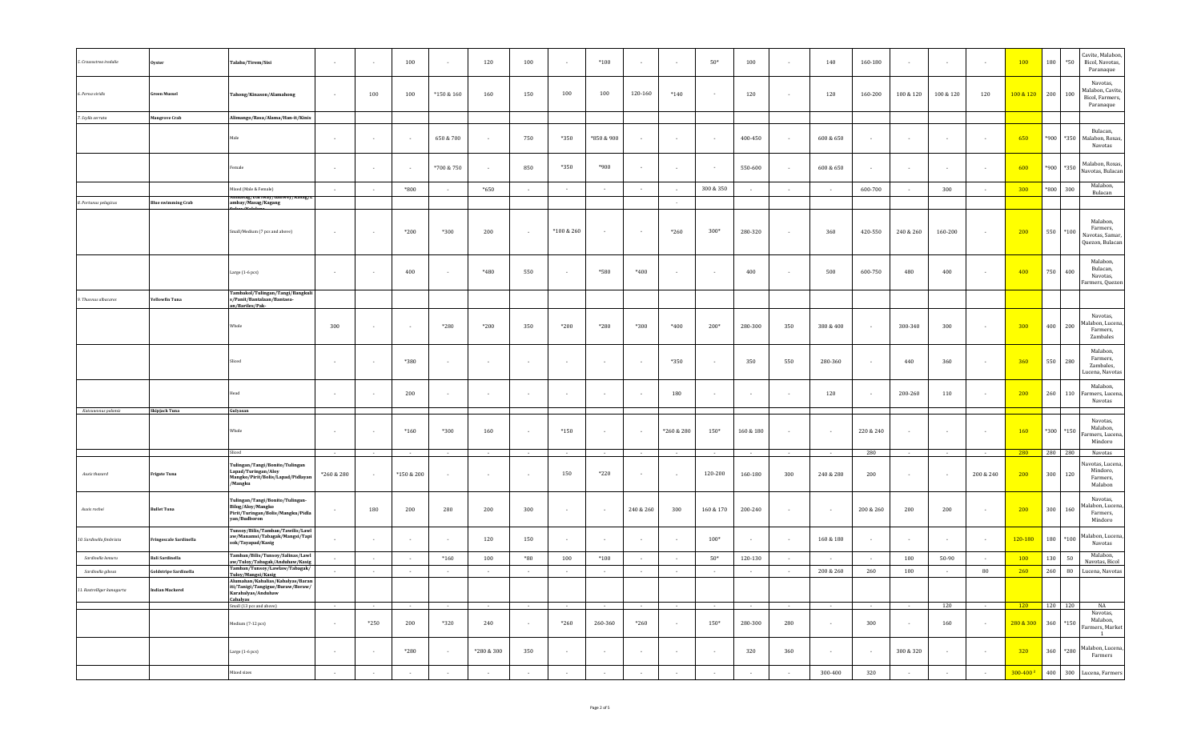| 5. Crassostrea iredalie    | <b>Oyster</b>             | Talaba/Tirem/Sisi                                                                                                                   | $\sim$                   | $\sim$                   | 100        | $\sim$         | 120                      | 100    | $\sim$     | $*100$                   |                 |            | $50*$      | 100             | $\sim$     | 140             | 160-180    | $\overline{\phantom{a}}$ | $\sim$                   |                | 100                  | 180       | $*50$  | Cavite, Malabon,<br>Bicol, Navotas,<br>Paranaque             |
|----------------------------|---------------------------|-------------------------------------------------------------------------------------------------------------------------------------|--------------------------|--------------------------|------------|----------------|--------------------------|--------|------------|--------------------------|-----------------|------------|------------|-----------------|------------|-----------------|------------|--------------------------|--------------------------|----------------|----------------------|-----------|--------|--------------------------------------------------------------|
| 6. Perna viridis           | Green Mussel              | Tahong/Kinason/Alamahong                                                                                                            |                          | 100                      | 100        | $*150 & 160$   | 160                      | 150    | 100        | 100                      | 120-160         | $*140$     |            | 120             |            | 120             | 160-200    | 100 & 120                | 100 & 120                | 120            | 100 & 120            | 200       | 100    | Navotas,<br>Malabon, Cavite,<br>Bicol, Farmers,<br>Paranaque |
| 7. Scylla serrata          | <b>Mangrove Crab</b>      | Alimango/Rasa/Alama/Han-it/Kinis                                                                                                    |                          |                          |            |                |                          |        |            |                          |                 |            |            |                 |            |                 |            |                          |                          |                |                      |           |        |                                                              |
|                            |                           | Male                                                                                                                                | $\sim$                   | $\sim$                   |            | 650 & 700      | $\cdot$                  | 750    | *350       | *850 & 900               | $\sim$          |            |            | 400-450         |            | 600 & 650       |            | $\overline{\phantom{a}}$ | $\overline{\phantom{a}}$ |                | 650                  | *900      | *350   | Bulacan,<br>Malabon, Roxas,<br>Navotas                       |
|                            |                           | Female                                                                                                                              | $\sim$                   | $\overline{\phantom{a}}$ |            | *700 & 750     | $\overline{\phantom{a}}$ | 850    | $*350$     | *900                     |                 |            |            | 550-600         |            | 600 & 650       |            | $\overline{\phantom{a}}$ | ٠                        |                | 600                  | *900      | *350   | Malabon, Roxas,<br>Navotas, Bulacan                          |
|                            |                           | Mixed (Male & Female)                                                                                                               | $\sim$                   | $\sim$                   | $*800$     | . .            | *650                     | $\sim$ | $\sim$     | $\sim$                   | $\sim$ $\sim$   |            | 300 & 350  | $\sim$          | $\sim$     | $\sim$          | 600-700    | $\sim$                   | 300                      | $\sim$         | 300                  | *800      | 300    | Malabon,<br>Bulacan                                          |
| 8. Portunus pelagicus      | <b>Blue swimming Crab</b> | umasag/Dariway/Ganwey/Kasag/L<br>ambay/Masag/Kagang                                                                                 |                          |                          |            |                |                          |        |            |                          |                 | $\sim$     |            |                 |            |                 |            |                          |                          |                |                      |           |        |                                                              |
|                            |                           | Small/Medium (7 pcs and above)                                                                                                      | $\sim$                   | $\overline{\phantom{a}}$ | $*200$     | $*300$         | 200                      | $\sim$ | *100 & 260 |                          |                 | $*260$     | $300*$     | 280-320         | $\sim$     | 360             | 420-550    | 240 & 260                | 160-200                  | $\sim$         | 200                  | 550       | $*100$ | Malabon,<br>Farmers,<br>Navotas, Samar,<br>Quezon, Bulacan   |
|                            |                           | Large (1-6 pcs)                                                                                                                     | $\overline{\phantom{a}}$ | $\overline{\phantom{a}}$ | 400        |                | *480                     | 550    | $\sim$     | *580                     | $*400$          |            |            | 400             |            | 500             | 600-750    | 480                      | 400                      |                | 400                  | 750       | 400    | Malabon,<br>Bulacan,<br>Navotas,<br>Farmers, Quezon          |
| 9. Thunnus albacares       | rellowfin Tuna            | Tambakol/Tulingan/Tangi/Bangkuli<br>s/Panit/Bantalaan/Bantaea-                                                                      |                          |                          |            |                |                          |        |            |                          |                 |            |            |                 |            |                 |            |                          |                          |                |                      |           |        |                                                              |
|                            |                           | an/Bariles/Pak-<br>Whole                                                                                                            | 300                      | $\sim$                   |            | *280           | *200                     | 350    | $*200$     | *280                     | $*300$          | $*400$     | 200*       | 280-300         | 350        | 380 & 400       | $\sim$     | 300-340                  | 300                      | $\sim$         | 300                  | 400       | 200    | Navotas,<br>Malabon, Lucena<br>Farmers,<br>Zambales          |
|                            |                           | Sliced                                                                                                                              |                          | $\overline{\phantom{a}}$ | *380       |                |                          |        |            |                          | $\sim$          | *350       |            | 350             | 550        | 280-360         |            | 440                      | 360                      |                | 360                  | 550       | 280    | Malabon,<br>Farmers,<br>Zambales,<br>Lucena, Navotas         |
|                            |                           | Head                                                                                                                                | $\overline{\phantom{a}}$ | $\sim$                   | 200        | $\sim$         | $\sim$                   | $\sim$ | $\sim$     | $\overline{\phantom{a}}$ | $\sim$          | 180        | $\sim$     | $\sim$          |            | 120             | $\sim$     | 200-260                  | 110                      |                | 200                  | 260       | 110    | Malabon,<br>Farmers, Lucena,<br>Navotas                      |
| Katsuwonus pelamis         | Skipjack Tuna             | Gulyasan                                                                                                                            |                          |                          |            |                |                          |        |            |                          |                 |            |            |                 |            |                 |            |                          |                          |                |                      |           |        | Navotas,                                                     |
|                            |                           | Whole                                                                                                                               | $\sim$                   | $\sim$                   | $*160$     | *300           | 160                      | $\sim$ | $*150$     | ۰.                       | $\sim$          | *260 & 280 | 150*       | 160 & 180       |            |                 | 220 & 240  | $\cdot$                  | $\overline{\phantom{a}}$ |                | <b>160</b>           | *300      | $*150$ | Malabon,<br>armers, Lucena,<br>Mindoro                       |
|                            |                           | Sliced                                                                                                                              | $\sim$                   | $\sim$                   |            | $\sim$         | $\overline{\phantom{a}}$ | $\sim$ | $\sim$     | $\sim$                   | $\sim$          | $\sim$     | $\sim$     | $\sim$          | $\sim$     | $\sim$          | 280        | $\cdot$                  | $\sim$                   | $\sim$         | 280                  | 280 280   |        | Navotas                                                      |
| Auxis thazard              | rigate Tuna               | Tulingan/Tangi/Bonito/Tulingan<br>Lapad/Turingan/Aloy<br>Mangko/Pirit/Bolis/Lapad/Pidlayan<br>/Mangku                               | *260 & 280               | $\sim$                   | *150 & 200 | $\sim$         | $\overline{\phantom{a}}$ | $\sim$ | 150        | $*220$                   | $\sim$          |            | 120-200    | 160-180         | 300        | 240 & 280       | 200        | $\overline{\phantom{a}}$ | $\overline{\phantom{a}}$ | 200 & 240      | 200                  | 300       | 120    | avotas, Lucena,<br>Mindoro,<br>Farmers,<br>Malabon           |
| Auxis rochei               | Bullet Tuna               | Tulingan/Tangi/Bonito/Tulingan-<br>Bilog/Aloy/Mangko<br>Pirit/Turingan/Bolis/Mangku/Pidla<br>yan/Budboron                           | $\sim$                   | 180                      | 200        | 280            | 200                      | 300    | $\sim$     | $\sim$                   | 240 & 260       | 300        | 160 & 170  | 200-240         | $\sim$     |                 | 200 & 260  | 200                      | 200                      | $\sim$         | 200                  | 300       | 160    | Navotas,<br>Ialabon, Lucena,<br>Farmers,<br>Mindoro          |
| 10. Sardinella fimbriata   | Fringescale Sardinella    | Tunsoy/Bilis/Tamban/Tawilis/Lawl<br>aw/Manamsi/Tabagak/Mangsi/Tapi<br>sok/Tayapad/Kasig                                             | $\sim$                   | $\sim$                   |            | $\sim$         | 120                      | 150    | $\sim$     | $\overline{\phantom{a}}$ | $\sim$          |            | $100*$     | $\sim$          |            | $160\ \&\ 180$  | ٠.         | $\sim$                   | $\sim$                   | $\sim$         | 120-180              | 180       | $*100$ | Malabon, Lucena,<br>Navotas                                  |
| Sardinella lemuru          | <b>Bali Sardinella</b>    | Tamban/Bilis/Tunsoy/Salinas/Lawl<br>aw/Tuloy/Tabagak/Anduhaw/Kasig                                                                  | $\overline{\phantom{a}}$ | $\sim$                   |            | $*160$         | 100                      | $*80$  | 100        | $*100$                   | $\sim$          |            | $50*$      | 120-130         |            |                 |            | 100                      | 50-90                    |                | 100                  | 130       | 50     | Malabon,<br>Navotas, Bicol                                   |
| Sardinella gibosa          | Goldstripe Sardinella     | Tamban/Tunsoy/Lawlaw/Tabagak/<br>Tuloy/Mangsi/Kasig                                                                                 | $\sim 10^{-11}$          | $\sim$                   | $\sim$     | $\sim$         | $\sim$                   | $\sim$ | $\sim$     | $\sim$                   | $\sim$          | $\sim$     | $\sim$     | $\sim$          | $\sim$     | 200 & 260       | 260        | 100                      | $\sim$                   | 80             | 260                  | 260       | 80     | Lucena, Navotas                                              |
| 11. Rastrelliger kanagurta | <b>Indian Mackerel</b>    | Alumahan/Kabalias/Kabalyas/Baran <br>iti/Tanigi/Tangigue/Buraw/Boraw/<br>Karabalyas/Anduhaw<br>Cabalyas<br>Small (13 pcs and above) | $\sim 10^{-1}$           | $\sim 10^{-1}$           | $\sim$     | $\sim 10^{-1}$ | $\sim$ $-$               | $\sim$ | $\sim$ $-$ | $\sim$ $-$               | $\sim 10^{-11}$ | $\sim$ $-$ | $\sim 100$ | $\sim 10^{-11}$ | $\sim$ $-$ | $\sim 10^{-11}$ | $\sim$ $-$ | $\sim 10^{-1}$           | 120                      | $\sim 10^{-1}$ | $-120$               | $120$ 120 |        | NA                                                           |
|                            |                           |                                                                                                                                     |                          |                          |            |                |                          |        |            |                          |                 |            |            |                 |            |                 |            |                          |                          |                |                      |           |        | Navotas,                                                     |
|                            |                           | Medium (7-12 pcs)                                                                                                                   | $\sim$                   | $*250$                   | 200        | $*320$         | 240                      | $\sim$ | $*260$     | 260-360                  | $*260$          | $\sim$     | $150*$     | 280-300         | 280        | $\sim$          | 300        | $\sim$                   | 160                      | $\sim$         | $280&8.300$ 360 *150 |           |        | Malabon,<br>Farmers, Market<br>$\overline{1}$                |
|                            |                           | Large (1-6 pcs)                                                                                                                     | $\sim$                   | $\sim$                   | *280       | $\sim$         | *280 & 300               | 350    | $\sim$     | $\sim$                   | $\sim$          | $\sim$     | $\sim$     | 320             | 360        | $\sim$          | $\sim$     | 300 & 320                | $\sim$                   | $\sim$         | 320                  | 360 *280  |        | Malabon, Lucena,<br>Farmers                                  |
|                            |                           | Mixed sizes                                                                                                                         | $\sim$                   | $\sim$                   | $\sim$     | $\sim$         | $\sim$                   | $\sim$ | $\sim$     | $\sim$                   | $\sim$          | $\sim$     | $\sim$     | $\sim$          | $\alpha$   | 300-400         | 320        | $\sim$                   | $\sim$                   | $\sim$         | 300-400 2            |           |        | 400 300 Lucena, Farmers                                      |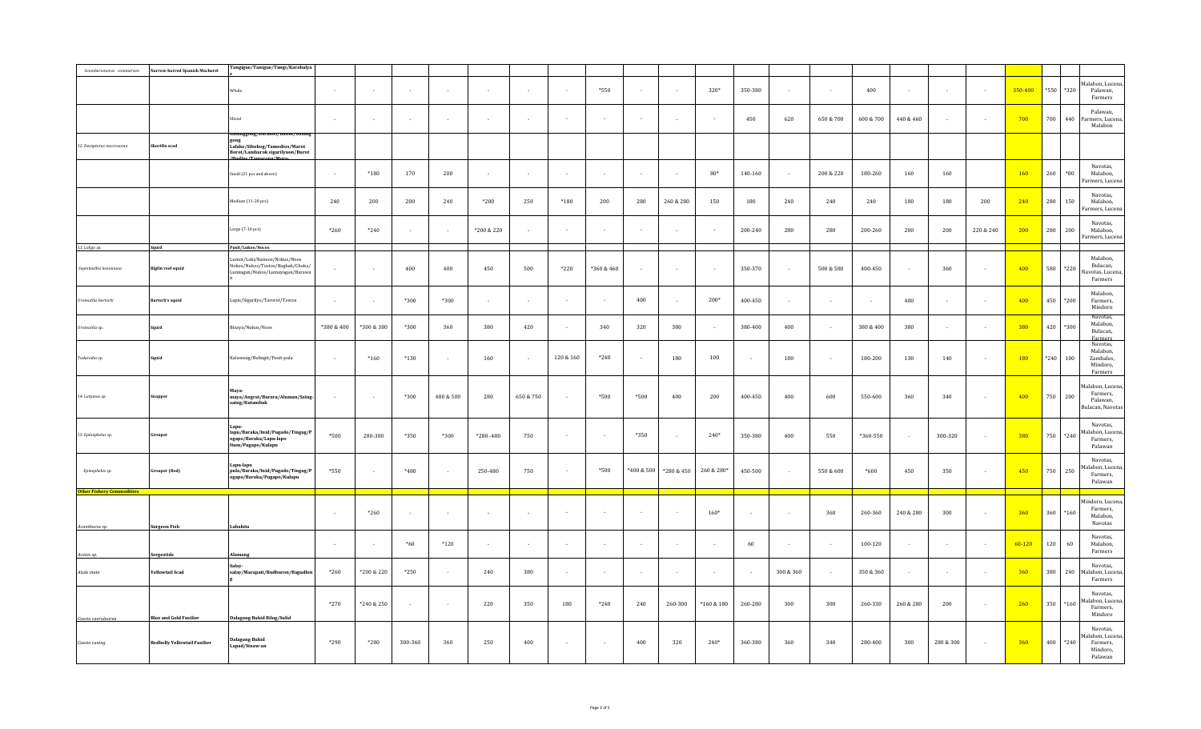| Scomberomorus commerson  | arrow-barred Spanish Mackerel       | Tangigue/Tanigue/Tangi/Karabalya                                                                        |            |            |                    |           |              |           |                            |                          |            |            |                  |         |           |           |           |           |                          |           |            |        |            |                                                               |
|--------------------------|-------------------------------------|---------------------------------------------------------------------------------------------------------|------------|------------|--------------------|-----------|--------------|-----------|----------------------------|--------------------------|------------|------------|------------------|---------|-----------|-----------|-----------|-----------|--------------------------|-----------|------------|--------|------------|---------------------------------------------------------------|
|                          |                                     |                                                                                                         |            |            |                    |           |              |           |                            |                          |            |            |                  |         |           |           |           |           |                          |           |            |        |            |                                                               |
|                          |                                     | Whole                                                                                                   |            | $\sim$     |                    |           |              | $\sim$    |                            | *550                     |            |            | 320*             | 350-380 |           |           | 400       |           |                          |           | 350-400    | *550   | *320       | Malabon, Lucena<br>Palawan,<br>Farmers                        |
|                          |                                     | Sliced                                                                                                  | $\sim$     | $\sim$     |                    |           |              | $\sim$    |                            |                          |            |            |                  | 450     | 620       | 650 & 700 | 600 & 700 | 440 & 460 | $\overline{\phantom{a}}$ |           | 700        | 700    | 440        | Palawan.<br>armers, Lucena,<br>Malabon                        |
| 12. Decapterus macrosoma | hortfin scad                        | Galunggong/Baraniti/Bulilit/Galung<br>Lalake/Sibobog/Tamodios/Marot<br>Borot/Lambarok sigarilyuon/Burot |            |            |                    |           |              |           |                            |                          |            |            |                  |         |           |           |           |           |                          |           |            |        |            |                                                               |
|                          |                                     | /Budley/Tomorons/M<br>Small (21 pcs and above)                                                          | $\sim$     | $*180$     | 170                | 200       | $\sim$       | $\sim$    | $\sim$                     | $\overline{\phantom{a}}$ |            |            | $80*$            | 140-160 | $\sim$    | 200 & 220 | 180-260   | 160       | 160                      |           | 160        | 260    | $^\ast 80$ | Navotas,<br>Malabon,<br>Farmers, Lucena                       |
|                          |                                     | Medium (11-20 pcs)                                                                                      | 240        | 200        | 200                | 240       | *200         | 250       | $*180$                     | 200                      | 280        | 260 & 280  | 150              | 180     | 240       | 240       | 240       | 180       | 180                      | 200       | 240        | 280    | 150        | Navotas,<br>Malabon,<br>'armers, Lucena                       |
|                          |                                     | Large (7-10 pcs)                                                                                        | $*260$     | $*240$     |                    | $\sim$    | *200 & 220   | $\sim$    |                            |                          |            |            |                  | 200-240 | 280       | 280       | 200-260   | 200       | 200                      | 220 & 240 | 200        | 280    | 200        | Navotas,<br>Malabon,<br>Farmers, Lucena                       |
| 13. Loligo sp.           | Squid                               | Pusit/Lukos/Nocos                                                                                       |            |            |                    |           |              |           |                            |                          |            |            |                  |         |           |           |           |           |                          |           |            |        |            |                                                               |
| epioteuthis lessoniana   | Bigfin reef squid                   | Lumot/Laki/Kanuos/Nokus/Noos<br>Nokos/Nukos/Tostos/Baghak/Choka/<br>umiagan/Nukos/Lumayagan/Barawa      | $\sim$     | $\sim$     | 400                | 400       | 450          | 500       | $*220$                     | *360 & 460               |            |            |                  | 350-370 |           | 500 & 580 | 400-450   | $\sim$    | 360                      |           | 400        | 580    | $^*220$    | Malabon,<br>Bulacan,<br>Navotas, Lucena,<br>Farmers           |
| Uroteuthis bartschi      | Bartsch's squid                     | Lapis/Sigarilyo/Tarorot/Tostos                                                                          | $\sim$     | $\sim$     | $*300$             | $*300$    | $\sim$       | $\sim$    |                            |                          | 400        |            | $200*$           | 400-450 |           |           |           | 400       | $\sim$                   |           | 400        | 450    | $*200$     | Malabon,<br>Farmers.<br>Mindoro                               |
| Uroteuthis sp.           | uid                                 | Bisaya/Nukos/Noos                                                                                       | *380 & 400 | *300 & 380 | $*300$             | 360       | 380          | 420       | $\sim$                     | 340                      | 320        | 380        |                  | 380-400 | 400       |           | 380 & 400 | 380       | $\sim$                   |           | 380        | 420    | *300       | Navotas,<br>Malabon,<br>Bulacan,<br>Farmers                   |
| Todarodes sp.            | uid                                 | Kalawang/Bulingit/Pusit-pula                                                                            | $\sim$     | $*160$     | $*130$             | ÷.        | 160          | $\sim$    | $120\text{ }\&\text{ }160$ | $*240$                   | $\sim$     | 180        | 100              | $\sim$  | 180       |           | 180-200   | 130       | 140                      |           | <b>180</b> | $*240$ | 100        | Navotas,<br>Malabon,<br>Zambales,<br>Mindoro,<br>Farmers      |
| 14. Lutjanus sp.         | apper                               | Maya-<br>maya/Angrat/Burara/Aluman/Saing-<br>saing/Kutambak                                             |            | $\sim$     | $*300$             | 480 & 500 | 280          | 650 & 750 |                            | *500                     | $*500$     | 400        | 200              | 400-450 | 400       | 600       | 550-600   | 360       | 340                      |           | 400        | 750    | 200        | lalabon, Lucena,<br>Farmers,<br>Palawan,<br>Bulacan, Navotas  |
| 15. Epinephelus sp.      | puper                               | Lapu-<br>lapu/Baraka/Inid/Pugado/Tingag/P<br>ogapo/Baraka/Lapu-lapo<br>Itum/Pugapo/Kulapu               | *500       | 280-380    | $*350$             | $*300$    | $*280 - 480$ | 750       | $\sim$                     | $\overline{\phantom{a}}$ | $*350$     |            | $240*$           | 350-380 | 400       | 550       | *360-550  | $\sim$    | 300-320                  | $\sim$    | 380        | 750    | *240       | Navotas,<br>Malabon, Lucena,<br>Farmers,<br>Palawan           |
| Epinephelus sp.          | Grouper (Red)                       | Lapu-lapu<br>pula/Baraka/Inid/Pugado/Tingag/P<br>ogapo/Baraka/Pugapo/Kulapu                             | *550       | $\sim$     | $*480$             | $\sim$    | 250-480      | 750       | $\sim$                     | $*500$                   | *400 & 500 | *280 & 450 | 260 & 280*       | 450-500 | $\sim$    | 550 & 600 | $*600$    | 450       | 350                      | $\sim$    | 450        | 750    | 250        | Navotas.<br>alabon, Lucena<br>Farmers,<br>Palawan             |
| <b>Other Fishery Cor</b> |                                     |                                                                                                         |            |            |                    |           |              |           |                            |                          |            |            |                  |         |           |           |           |           |                          |           |            |        |            |                                                               |
| Acanthurus sp.           | <b>Surgeon Fish</b>                 | Labahita                                                                                                | $\sim$     | $*260$     |                    | . .       | $\sim$       | $\sim$    | $\sim$                     | $\overline{\phantom{a}}$ | $\sim$     |            | $160*$           | $\sim$  |           | 360       | 260-360   | 240 & 280 | 300                      |           | 360        | 360    | $*160$     | Mindoro, Lucena<br>Farmers,<br>Malabon,<br>Navotas            |
| Acetes sp.               | Sergestids                          | Alamang                                                                                                 |            | $\sim$     | $\boldsymbol{*}60$ | $*120$    |              | $\sim$    |                            |                          |            |            |                  | 60      |           |           | 100-120   |           |                          |           | $60 - 120$ | 120    | 60         | Navotas,<br>Malabon,<br>Farmers                               |
| Atule mate               | Yellowtail Scad                     | Salay-<br>salay/Marapati/Budburon/Bagudlon                                                              | $*260$     | *200 & 220 | $*250$             | $\sim$    | 240          | 380       | $\sim$                     |                          |            |            |                  | $\sim$  | 300 & 360 |           | 350 & 360 | $\cdot$   | $\overline{\phantom{a}}$ |           | 360        | 380    | 240        | Navotas,<br>Ialabon, Lucena<br>Farmers                        |
| Caesio caerulaurea       | <b>Blue and Gold Fusilier</b>       | Dalagang Bukid Bilog/Sulid                                                                              | $*270$     | *240 & 250 |                    | $\sim$    | 220          | 350       | 180                        | $*240$                   | 240        | 260-300    | $^*160\ \&\ 180$ | 260-280 | 300       | 300       | 260-330   | 260 & 280 | 200                      |           | 260        | 350    | $*160$     | Navotas,<br>Malabon, Lucena<br>Farmers,<br>Mindoro            |
| Caesio cuning            | <b>Redbelly Yellowtail Fusilier</b> | <b>Dalagang Bukid</b><br>Lapad/Sinaw-an                                                                 | *290       | $*280$     | 300-360            | 360       | 250          | 400       |                            |                          | 400        | 320        | $240*$           | 360-380 | 360       | 340       | 280-400   | 300       | 280 & 300                |           | 360        | 400    | $*240$     | Navotas,<br>Aalabon, Lucer<br>Farmers,<br>Mindoro,<br>Palawan |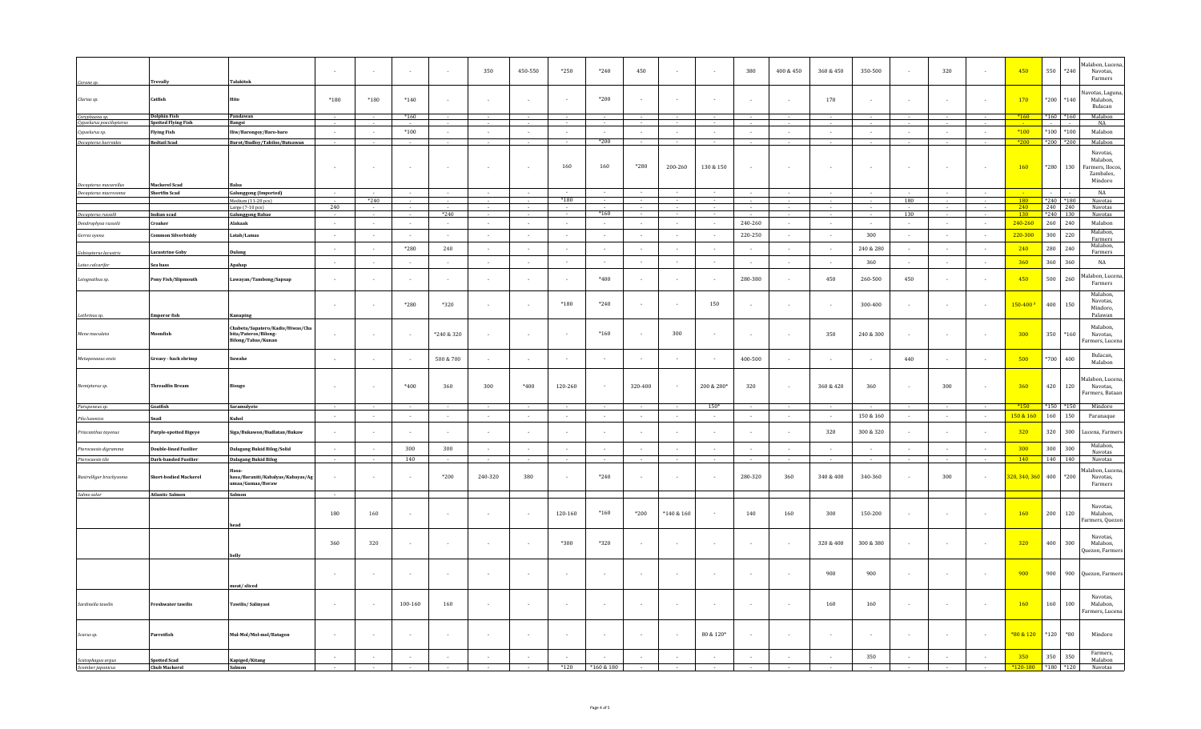| Caranx sp.                                    | <b>Trevally</b>                           | Talakitok                                                                      | $\sim$ | $\sim$ |                          |                | 350                      | 450-550 | $*250$     | $*240$     | 450            |            |            | 380                      | 400 & 450 | 360 & 450      | 350-500   | $\sim$        | 320    |        | 450                      | 550<br>$*240$               | Malabon, Lucena,<br>Navotas,<br>Farmers                         |
|-----------------------------------------------|-------------------------------------------|--------------------------------------------------------------------------------|--------|--------|--------------------------|----------------|--------------------------|---------|------------|------------|----------------|------------|------------|--------------------------|-----------|----------------|-----------|---------------|--------|--------|--------------------------|-----------------------------|-----------------------------------------------------------------|
| Clarias sp.                                   | Catfish                                   | Hito                                                                           | $*180$ | $*180$ | $*140$                   |                | $\overline{\phantom{a}}$ |         |            | $*200$     |                |            |            |                          |           | 170            |           |               |        |        | 170                      | *200                        | Navotas, Laguna<br>*140<br>Malabon,<br>Bulacan                  |
| Coryphaena sp.                                | <b>Dolphin Fish</b><br>potted Flying Fish | Pandawan                                                                       |        |        | $*160$                   |                |                          |         |            |            |                |            |            |                          |           |                |           |               |        |        | $*160$                   | $*160$<br>$*160$            | Malabon                                                         |
| Cypselurus poecilopterus<br>Cypselurus sp.    | <b>Flying Fish</b>                        | Bangsi<br>Iliw/Barongoy/Baro-baro                                              | $\sim$ | $\sim$ | $*100$                   | $\sim$         | $\sim$                   | $\sim$  | $\sim$     | $\sim$     | $\sim$         | $\sim$     | $\sim$     | $\sim$                   | $\sim$    | $\sim$         | $\sim$    | $\sim$        | $\sim$ |        | $*100$                   | $*100$<br>$^*100$           | <b>NA</b><br>Malabon                                            |
| Decapterus kurroides                          | <b>Redtail Scad</b>                       | Burot/Budloy/Tabilos/Butsawan                                                  | $\sim$ |        |                          |                |                          |         | $\sim$     | $*200$     | $\sim$         | $\sim$     | $\sim$     | $\sim$                   |           |                |           |               | $\sim$ |        | $*200$                   | *200                        | *200<br>Malabon                                                 |
|                                               |                                           |                                                                                | $\sim$ | $\sim$ | ÷                        |                | ÷,                       | $\sim$  | 160        | 160        | $*280$         | 200-260    | 130 & 150  | $\sim$                   |           |                |           | $\sim$        | $\sim$ |        | 160                      | $^{\ast}280$<br>130         | Navotas,<br>Malabon,<br>Farmers, Ilocos<br>Zambales,<br>Mindoro |
| Decapterus macarellus<br>Decapterus macrosoma | Mackerel Scad<br><b>Shortfin Scad</b>     | alsa<br><b>Galunggong (Imported)</b>                                           | $\sim$ | $\sim$ | $\sim$                   |                | $\sim$                   | $\sim$  |            | $\sim$     | $\sim$         | $\sim$     |            | $\sim$                   | $\sim$    | $\sim$         |           | $\sim$        | $\sim$ |        |                          | $\sim$                      | NA                                                              |
|                                               |                                           | Medium (11-20 pcs)                                                             |        | $*240$ |                          |                |                          |         | $*180$     |            |                |            |            |                          |           |                |           | 180           |        |        | <b>180</b>               | $*240$<br>$^{\ast}180$      | Navotas                                                         |
| Decapterus russelli                           | Indian scad                               | Large (7-10 pcs)<br><b>Galunggong Babae</b>                                    | 240    | $\sim$ | $\sim$                   | $*240$         | $\sim$                   | $\sim$  | $\sim$     | $*160$     | $\sim$         | $\sim$     |            | $\sim$                   | $\sim$    | $\sim$         | $\sim$    | 130           | $\sim$ | $\sim$ | 240<br>130               | 240<br>240<br>$*240$<br>130 | Navotas<br>Navotas                                              |
| Dendrophysa russelii                          | Croaker                                   | Alakaak                                                                        | $\sim$ | $\sim$ | $\sim$                   |                | $\sim$                   | $\sim$  | $\sim$ $-$ | $\sim$     | $\sim$         | $\sim$     | $\sim$     | 240-260                  | $\sim$    | $\sim$         | $\sim$    | $\sim$        | $\sim$ | $\sim$ | 240-260                  | 260<br>240                  | Malabon                                                         |
| Gerres oyena                                  | Common Silverbiddy                        | Latab/Lamas                                                                    | $\sim$ | $\sim$ | $\sim$                   | $\sim 10^{-1}$ | $\sim$                   | $\sim$  | $\sim$     | $\sim$     | $\sim 10^{-1}$ | $\sim$     | $\sim$     | 220-250                  | $\sim$    | $\sim 10^{-1}$ | 300       | $\sim$ $\sim$ | $\sim$ | $\sim$ | 220-300                  | 300<br>220                  | Malabon,<br>Farmers                                             |
| Gobiopterus lacustris                         | Lacustrine Goby                           | Dulong                                                                         | $\sim$ | $\sim$ | *280                     | 240            | $\sim$                   | $\sim$  | $\sim$     | $\sim$     | $\sim$         | $\sim$     | $\sim$     | $\sim$                   | $\sim$    | $\sim$         | 240 & 280 | $\sim$        | $\sim$ |        | 240                      | 280<br>240                  | Malabon.<br>Farmers                                             |
| ates calcarifer                               | Sea bass                                  | Apahap                                                                         | $\sim$ | $\sim$ | $\overline{\phantom{a}}$ |                | $\overline{\phantom{a}}$ | $\sim$  | $\sim$     | $\sim$     | $\sim$         | $\sim$     | $\sim$     | $\sim$                   | $\sim$    |                | 360       | $\sim$        | $\sim$ |        | 360                      | 360<br>360                  | NA                                                              |
| Leiognathus sp.                               | Pony Fish/Slipmouth                       | Lawayan/Tambong/Sapsap                                                         | $\sim$ | ٠.     |                          |                | $\overline{\phantom{a}}$ |         |            | $*400$     |                |            |            | 280-380                  |           | 450            | 260-500   | 450           | $\sim$ |        | 450                      | 500<br>260                  | Malabon, Lucen<br>Farmers                                       |
|                                               | <b>Emperor</b> fish                       | Kanuping                                                                       |        |        | $*280$                   | $*320$         |                          |         | $*180$     | $*240$     |                |            | 150        | $\overline{\phantom{a}}$ |           |                | 300-400   |               |        |        | $150 - 400$ <sup>3</sup> | 400<br>150                  | Malabon,<br>Navotas,<br>Mindoro,<br>Palawan                     |
| Lethrinus sp.<br>Mene maculata                | oonfish                                   | Chabeta/Sapatero/Kadis/Hiwas/Cha<br>bita/Pateros/Bilong-<br>Bilong/Tabas/Kunan | $\sim$ | $\sim$ |                          | *240 & 320     | $\sim$                   | $\sim$  | $\sim$     | $*160$     | $\sim$         | 300        |            | $\sim$                   | $\sim$    | 350            | 240 & 300 | $\sim$        | $\sim$ |        | 300                      | 350<br>$*160$               | Malabon,<br>Navotas.<br>Farmers, Lucena                         |
| Metapenaeus ensis                             | Greasy - back shrimp                      | iuwahe                                                                         | $\sim$ | $\sim$ |                          | 500 & 700      | $\sim$                   | $\sim$  | $\sim$     | $\sim$     | $\sim$         |            |            | 400-500                  | $\sim$    | $\sim$         | $\sim$    | 440           | $\sim$ |        | 500                      | $*700$<br>400               | Bulacan,<br>Malabon                                             |
| Nemipterus sp.                                | <b>Threadfin Bream</b>                    |                                                                                |        | $\sim$ | $*400$                   | 360            | 300                      | $*400$  | 120-260    |            | 320-400        |            | 200 & 280* | 320                      |           | 360 & 420      | 360       | $\sim$        | 300    |        | 360                      | 420<br>120                  | Malabon, Lucena<br>Navotas,<br>Farmers, Bataan                  |
| Parupeneus sp.                                | Goatfish                                  | Saramulyete                                                                    |        |        |                          |                |                          |         |            |            |                |            | $150*$     |                          |           |                |           |               |        |        | $*150$                   | $*150$<br>*150              | Mindoro                                                         |
| Pila luzonica                                 | Snail                                     | Kuhol                                                                          | $\sim$ | $\sim$ | $\sim$                   | $\sim$         | $\sim$                   | $\sim$  | $\sim$     | $\sim$     | $\sim$         | $\sim$     | $\sim$     | $\sim$                   | $\sim$    | $\sim$         | 150 & 160 | $\sim$        | $\sim$ | $\sim$ | 150 & 160                | 160<br>150                  | Paranaque                                                       |
| Priacanthus tayenus                           | <b>Purple-spotted Bigeye</b>              | Siga/Bukawon/Budlatan/Bukaw                                                    |        |        |                          |                |                          |         |            |            |                |            |            |                          |           | 320            | 300 & 320 |               |        |        | 320                      | 320<br>300                  | Lucena, Farmers                                                 |
| Pterocaesio diaramma                          | <b>Double-lined Fusilier</b>              | Dalagang Bukid Bilog/Solid                                                     | $\sim$ | $\sim$ | 300                      | 300            | $\sim$                   | $\sim$  | $\sim$     | $\sim$     | $\sim$         | $\sim$     | $\sim$     | $\sim$                   | $\sim$    | $\sim$         | $\sim$    | $\sim$        | $\sim$ | $\sim$ | 300                      | 300<br>300                  | Malabon,<br>Navotas                                             |
| Pterocaesio tile                              | <b>Dark-banded Fusilier</b>               | <b>Dalagang Bukid Bilog</b>                                                    |        |        | 140                      |                |                          |         |            |            |                |            |            |                          |           |                |           |               |        |        | 140                      | 140<br>140                  | Navotas                                                         |
| Rastrelliger brachysoma                       | hort-bodied Mackerel                      | hasa/Baraniti/Kabalyas/Kabayas/Ag<br>maa/Gumaa/Boraw                           |        |        |                          | $*200$         | 240-320                  | 380     |            | $*240$     |                |            |            | 280-320                  | 360       | 340 & 400      | 340-360   |               | 300    |        | 320, 340, 360            | 400<br>*200                 | Malabon, Lucena<br>Navotas,<br>Farmers                          |
| Salmo salar                                   | <b>Atlantic Salmon</b>                    | Salmon                                                                         | $\sim$ |        |                          |                |                          |         |            |            |                |            |            |                          |           |                |           |               |        |        |                          |                             |                                                                 |
|                                               |                                           | head                                                                           | 180    | 160    |                          |                | $\sim$                   | $\sim$  | 120-160    | $*160$     | $*200$         | *140 & 160 | $\sim$     | 140                      | 160       | 300            | 150-200   | $\sim$        | $\sim$ |        | 160                      | 200<br>120                  | Navotas,<br>Malabon,<br>Farmers, Quezon                         |
|                                               |                                           | belly                                                                          | 360    | 320    |                          |                | $\sim$                   | $\sim$  | *300       | $*320$     | $\sim$         |            |            | $\sim$                   |           | 320 & 400      | 300 & 380 | $\sim$        | $\sim$ |        | 320                      | 400<br>300                  | Navotas,<br>Malabon,<br>Quezon, Farmers                         |
|                                               |                                           | neat/sliced                                                                    |        | $\sim$ |                          |                | $\overline{\phantom{a}}$ | $\sim$  |            |            |                |            |            | $\sim$                   | $\sim$    | 900            | 900       | $\sim$        | $\sim$ |        | 900                      | 900                         | 900<br>Quezon, Farmers                                          |
| Sardinella tawilis                            | <b>Freshwater tawilis</b>                 | Tawilis/Salinyasi                                                              | $\sim$ | $\sim$ | 100-160                  | 160            | $\sim$                   |         | $\sim$     | $\sim$     | $\sim$         |            | $\sim$     | $\sim$                   |           | 160            | 160       | $\sim$        | $\sim$ |        | <b>160</b>               | 160<br>100                  | Navotas.<br>Malabon,<br>Farmers, Lucena                         |
| Scarus sp.                                    | Parrotfish                                | Mul-Mol/Mol-mol/Batagon                                                        | $\sim$ | $\sim$ | n.                       |                | $\sim$                   | $\sim$  | $\sim$     | $\sim$     | $\sim$         |            | 80 & 120*  | $\sim$                   |           | $\sim$         | $\sim$    | $\sim$        | $\sim$ |        | *80 & 120                | $*120$<br>$*80$             | Mindoro                                                         |
|                                               | <b>Spotted Scad</b>                       | Kapiged/Kitang                                                                 | $\sim$ | $\sim$ |                          |                | $\sim$                   | $\sim$  |            | $\sim$     | $\sim$         | $\sim$     | $\sim$     | $\sim$                   |           | $\sim$         | 350       | $\sim$        | $\sim$ |        | 350                      | 350<br>350                  | Farmers,<br>Malabon                                             |
| Scatophagus argus<br>Scomber japonicus        | <b>Chub Mackerel</b>                      | Salmon                                                                         |        |        |                          |                |                          |         | $*120$     | *160 & 180 |                |            |            |                          |           |                |           |               |        |        | $*120-180$               | *180                        | $*120$<br>Navotas                                               |